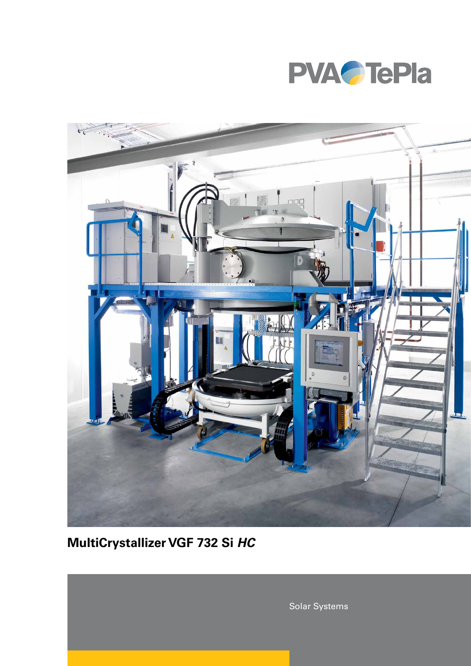



# MultiCrystallizer VGF 732 Si HC

Solar Systems